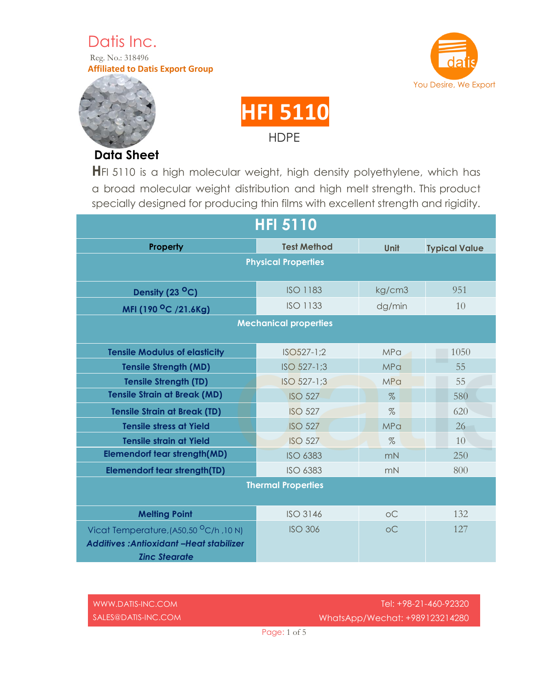Datis Inc. Reg. No.: 318496 **Affiliated to Datis Export Group**





**Data Sheet**



**H**FI 5110 is a high molecular weight, high density polyethylene, which has a broad molecular weight distribution and high melt strength. This product specially designed for producing thin films with excellent strength and rigidity.

| <b>HFI 5110</b>                                                                                                  |                    |             |                      |
|------------------------------------------------------------------------------------------------------------------|--------------------|-------------|----------------------|
| Property                                                                                                         | <b>Test Method</b> | <b>Unit</b> | <b>Typical Value</b> |
| <b>Physical Properties</b>                                                                                       |                    |             |                      |
| Density (23 °C)                                                                                                  | <b>ISO 1183</b>    | kg/cm3      | 951                  |
| MFI (190 °C /21.6Kg)                                                                                             | <b>ISO 1133</b>    | dg/min      | 10                   |
| <b>Mechanical properties</b>                                                                                     |                    |             |                      |
| <b>Tensile Modulus of elasticity</b>                                                                             | $ISO527-1;2$       | MPa         | 1050                 |
| <b>Tensile Strength (MD)</b>                                                                                     | ISO 527-1;3        | MPa         | 55                   |
| <b>Tensile Strength (TD)</b>                                                                                     | ISO 527-1;3        | MPa         | 55                   |
| <b>Tensile Strain at Break (MD)</b>                                                                              | <b>ISO 527</b>     | $\%$        | 580                  |
| <b>Tensile Strain at Break (TD)</b>                                                                              | <b>ISO 527</b>     | $\%$        | 620                  |
| <b>Tensile stress at Yield</b>                                                                                   | <b>ISO 527</b>     | MPa         | 26                   |
| <b>Tensile strain at Yield</b>                                                                                   | <b>ISO 527</b>     | $\%$        | 10                   |
| <b>Elemendorf tear strength(MD)</b>                                                                              | <b>ISO 6383</b>    | mN          | 250                  |
| <b>Elemendorf tear strength(TD)</b>                                                                              | <b>ISO 6383</b>    | mN          | 800                  |
| <b>Thermal Properties</b>                                                                                        |                    |             |                      |
| <b>Melting Point</b>                                                                                             | <b>ISO 3146</b>    | OC          | 132                  |
| Vicat Temperature, (A50,50 °C/h, 10 N)<br><b>Additives: Antioxidant -Heat stabilizer</b><br><b>Zinc Stearate</b> | <b>ISO 306</b>     | OC          | 127                  |

| WWW.DATIS-INC.COM     | Tel: +98-21-460-92320               |
|-----------------------|-------------------------------------|
| $SALES@DATIS-INC.COM$ | WhatsApp/Wechat: +989123214280      |
|                       | $P_{C}$ $O_{C}$ : $1 \circ$ $f_{R}$ |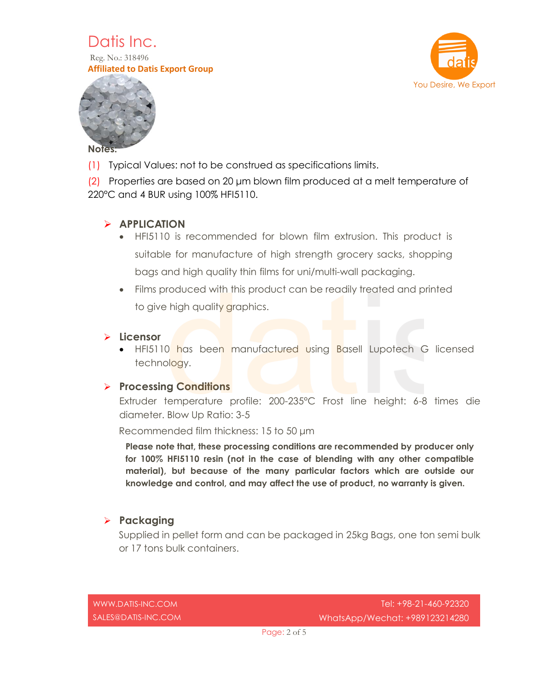

Reg. No.: 318496 **Affiliated to Datis Export Group**





(1) Typical Values: not to be construed as specifications limits.

(2) Properties are based on 20 μm blown film produced at a melt temperature of 220°C and 4 BUR using 100% HFI5110.

# **APPLICATION**

- HFI5110 is recommended for blown film extrusion. This product is suitable for manufacture of high strength grocery sacks, shopping bags and high quality thin films for uni/multi-wall packaging.
- Films produced with this product can be readily treated and printed to give high quality graphics.

#### **Licensor**

• HFI5110 has been manufactured using Basell Lupotech G licensed technology.

## **Processing Conditions**

Extruder temperature profile: 200-235°C Frost line height: 6-8 times die diameter. Blow Up Ratio: 3-5

Recommended film thickness: 15 to 50 μm

**Please note that, these processing conditions are recommended by producer only for 100% HFI5110 resin (not in the case of blending with any other compatible material), but because of the many particular factors which are outside our knowledge and control, and may affect the use of product, no warranty is given.**

## **Packaging**

Supplied in pellet form and can be packaged in 25kg Bags, one ton semi bulk or 17 tons bulk containers.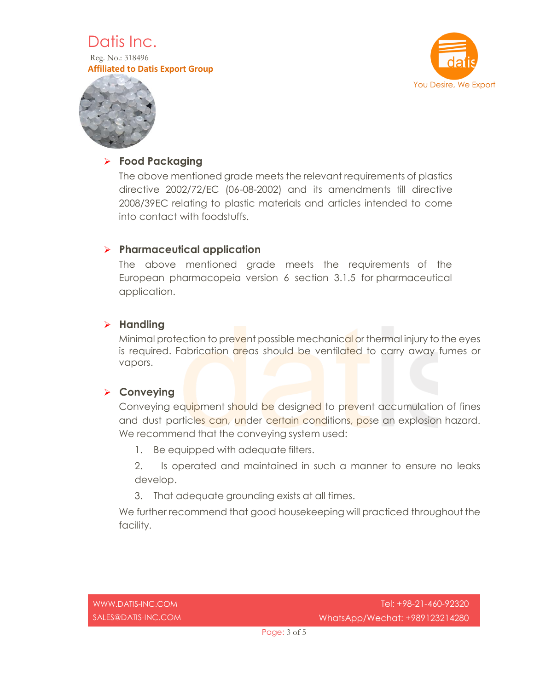# Datis Inc.

Reg. No.: 318496 **Affiliated to Datis Export Group**





# **Food Packaging**

The above mentioned grade meets the relevant requirements of plastics directive 2002/72/EC (06-08-2002) and its amendments till directive 2008/39EC relating to plastic materials and articles intended to come into contact with foodstuffs.

# **Pharmaceutical application**

The above mentioned grade meets the requirements of the European pharmacopeia version 6 section 3.1.5 for pharmaceutical application.

# **Handling**

Minimal protection to prevent possible mechanical or thermal injury to the eyes is required. Fabrication areas should be ventilated to carry away fumes or vapors.

## **Conveying**

Conveying equipment should be designed to prevent accumulation of fines and dust particles can, under certain conditions, pose an explosion hazard. We recommend that the conveying system used:

1. Be equipped with adequate filters.

2. Is operated and maintained in such a manner to ensure no leaks develop.

3. That adequate grounding exists at all times.

We further recommend that good housekeeping will practiced throughout the facility.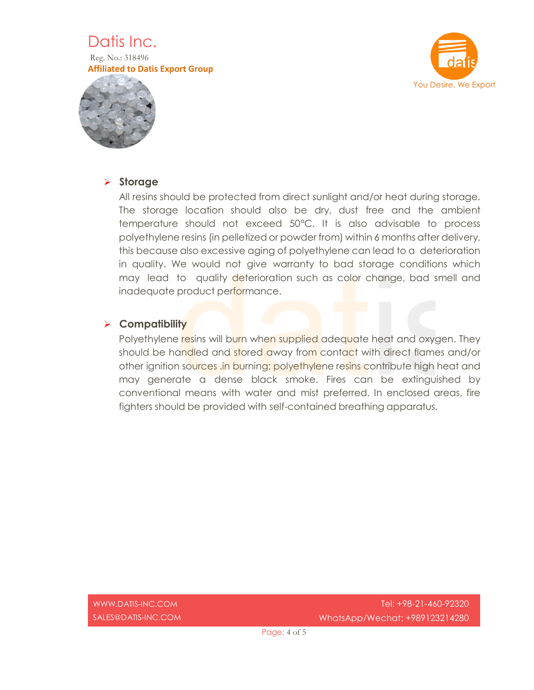

Reg. No.: 318496 **Affiliated to Datis Export Group**





#### **Storage**

All resins should be protected from direct sunlight and/or heat during storage. The storage location should also be dry, dust free and the ambient temperature should not exceed 50°C. It is also advisable to process polyethylene resins (in pelletized or powder from) within 6 months after delivery, this because also excessive aging of polyethylene can lead to a deterioration in quality. We would not give warranty to bad storage conditions which may lead to quality deterioration such as color change, bad smell and inadequate product performance.

#### **Compatibility**

Polyethylene resins will burn when supplied adequate heat and oxygen. They should be handled and stored away from contact with direct flames and/or other ignition sources .in burning; polyethylene resins contribute high heat and may generate a dense black smoke. Fires can be extinguished by conventional means with water and mist preferred. In enclosed areas, fire fighters should be provided with self-contained breathing apparatus.

[WWW.DATIS-INC.COM](http://www.datis-inc.com/) SALES@DATIS-INC.COM